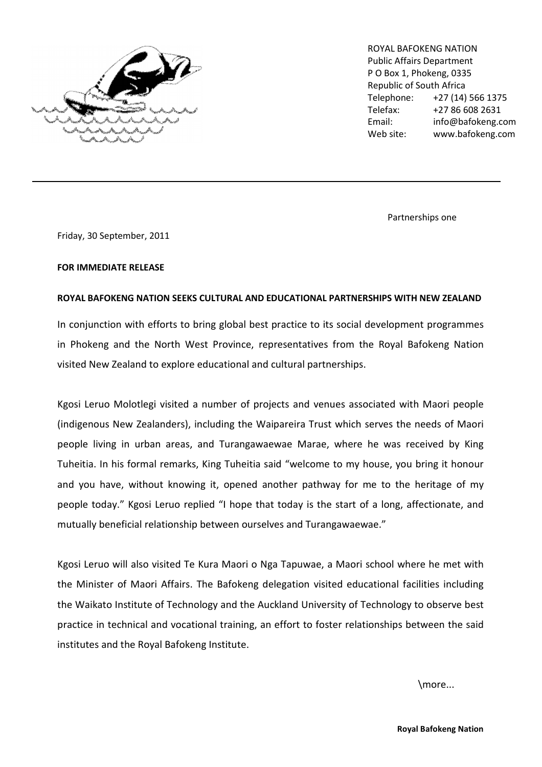

ROYAL BAFOKENG NATION Public Affairs Department P O Box 1, Phokeng, 0335 Republic of South Africa Telephone: +27 (14) 566 1375 Telefax: +27 86 608 2631 Email: info@bafokeng.com Web site: www.bafokeng.com

Partnerships one

Friday, 30 September, 2011

 $\mathcal{L}_\text{max}$  and  $\mathcal{L}_\text{max}$  and  $\mathcal{L}_\text{max}$ 

## FOR IMMEDIATE RELEASE

## ROYAL BAFOKENG NATION SEEKS CULTURAL AND EDUCATIONAL PARTNERSHIPS WITH NEW ZEALAND

In conjunction with efforts to bring global best practice to its social development programmes in Phokeng and the North West Province, representatives from the Royal Bafokeng Nation visited New Zealand to explore educational and cultural partnerships.

Kgosi Leruo Molotlegi visited a number of projects and venues associated with Maori people (indigenous New Zealanders), including the Waipareira Trust which serves the needs of Maori people living in urban areas, and Turangawaewae Marae, where he was received by King Tuheitia. In his formal remarks, King Tuheitia said "welcome to my house, you bring it honour and you have, without knowing it, opened another pathway for me to the heritage of my people today." Kgosi Leruo replied "I hope that today is the start of a long, affectionate, and mutually beneficial relationship between ourselves and Turangawaewae."

Kgosi Leruo will also visited Te Kura Maori o Nga Tapuwae, a Maori school where he met with the Minister of Maori Affairs. The Bafokeng delegation visited educational facilities including the Waikato Institute of Technology and the Auckland University of Technology to observe best practice in technical and vocational training, an effort to foster relationships between the said institutes and the Royal Bafokeng Institute.

\more...